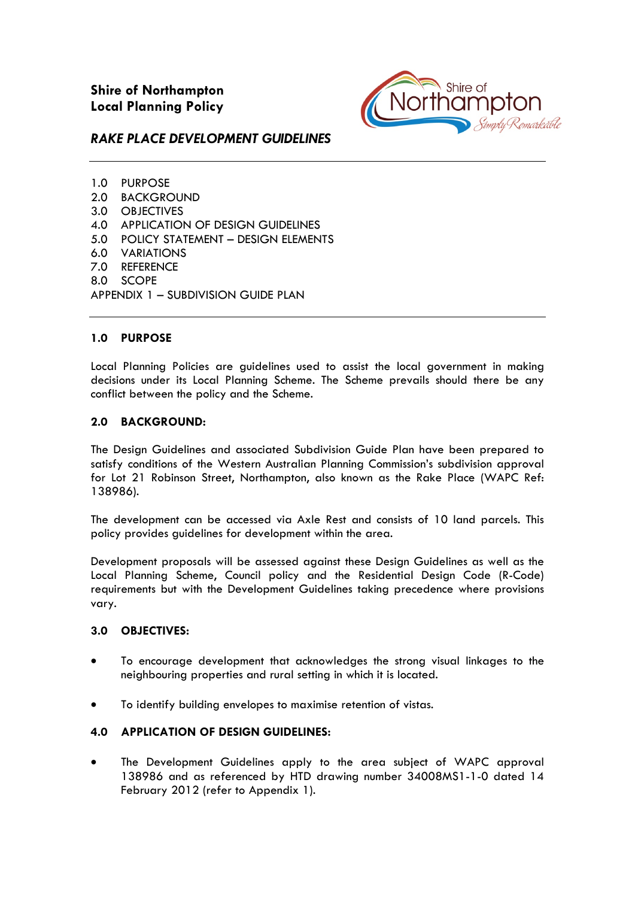

# *RAKE PLACE DEVELOPMENT GUIDELINES*

1.0 PURPOSE 2.0 BACKGROUND 3.0 OBJECTIVES 4.0 APPLICATION OF DESIGN GUIDELINES 5.0 POLICY STATEMENT – DESIGN ELEMENTS 6.0 VARIATIONS 7.0 REFERENCE 8.0 SCOPE APPENDIX 1 – SUBDIVISION GUIDE PLAN

# **1.0 PURPOSE**

Local Planning Policies are guidelines used to assist the local government in making decisions under its Local Planning Scheme. The Scheme prevails should there be any conflict between the policy and the Scheme.

### **2.0 BACKGROUND:**

The Design Guidelines and associated Subdivision Guide Plan have been prepared to satisfy conditions of the Western Australian Planning Commission's subdivision approval for Lot 21 Robinson Street, Northampton, also known as the Rake Place (WAPC Ref: 138986).

The development can be accessed via Axle Rest and consists of 10 land parcels. This policy provides guidelines for development within the area.

Development proposals will be assessed against these Design Guidelines as well as the Local Planning Scheme, Council policy and the Residential Design Code (R-Code) requirements but with the Development Guidelines taking precedence where provisions vary.

# **3.0 OBJECTIVES:**

- To encourage development that acknowledges the strong visual linkages to the neighbouring properties and rural setting in which it is located.
- To identify building envelopes to maximise retention of vistas.

# **4.0 APPLICATION OF DESIGN GUIDELINES:**

• The Development Guidelines apply to the area subject of WAPC approval 138986 and as referenced by HTD drawing number 34008MS1-1-0 dated 14 February 2012 (refer to Appendix 1).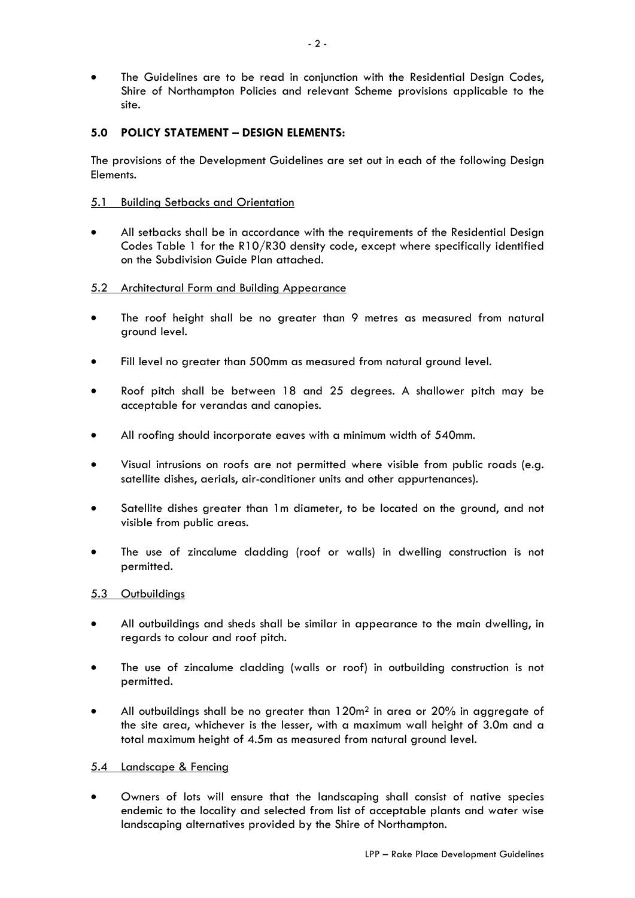• The Guidelines are to be read in conjunction with the Residential Design Codes, Shire of Northampton Policies and relevant Scheme provisions applicable to the site.

# **5.0 POLICY STATEMENT – DESIGN ELEMENTS:**

The provisions of the Development Guidelines are set out in each of the following Design Elements.

### 5.1 Building Setbacks and Orientation

• All setbacks shall be in accordance with the requirements of the Residential Design Codes Table 1 for the R10/R30 density code, except where specifically identified on the Subdivision Guide Plan attached.

### 5.2 Architectural Form and Building Appearance

- The roof height shall be no greater than 9 metres as measured from natural ground level.
- Fill level no greater than 500mm as measured from natural ground level.
- Roof pitch shall be between 18 and 25 degrees. A shallower pitch may be acceptable for verandas and canopies.
- All roofing should incorporate eaves with a minimum width of 540mm.
- Visual intrusions on roofs are not permitted where visible from public roads (e.g. satellite dishes, aerials, air-conditioner units and other appurtenances).
- Satellite dishes greater than 1m diameter, to be located on the ground, and not visible from public areas.
- The use of zincalume cladding (roof or walls) in dwelling construction is not permitted.

# 5.3 Outbuildings

- All outbuildings and sheds shall be similar in appearance to the main dwelling, in regards to colour and roof pitch.
- The use of zincalume cladding (walls or roof) in outbuilding construction is not permitted.
- All outbuildings shall be no greater than  $120m^2$  in area or  $20%$  in aggregate of the site area, whichever is the lesser, with a maximum wall height of 3.0m and a total maximum height of 4.5m as measured from natural ground level.

### 5.4 Landscape & Fencing

• Owners of lots will ensure that the landscaping shall consist of native species endemic to the locality and selected from list of acceptable plants and water wise landscaping alternatives provided by the Shire of Northampton.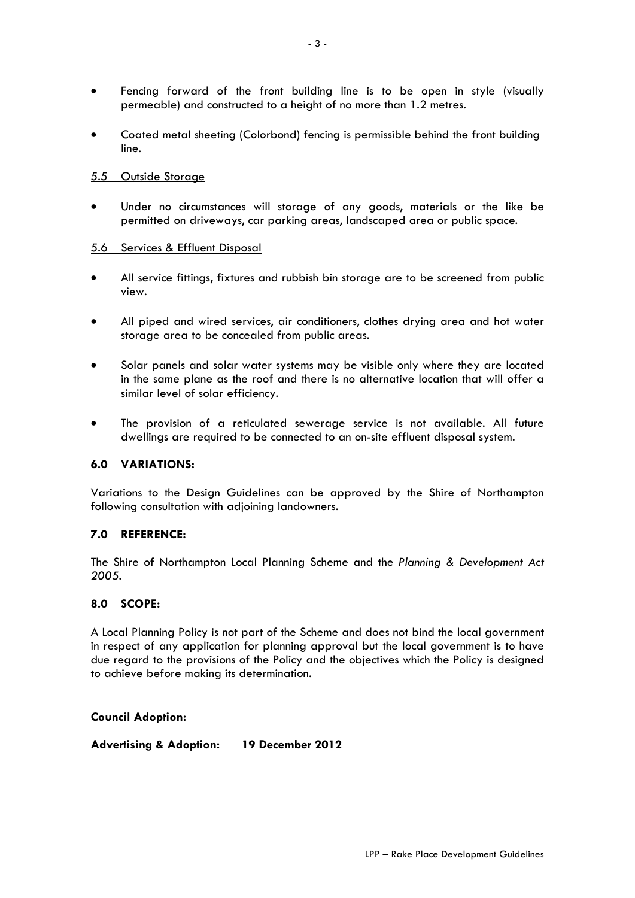- Fencing forward of the front building line is to be open in style (visually permeable) and constructed to a height of no more than 1.2 metres.
- Coated metal sheeting (Colorbond) fencing is permissible behind the front building line.

### 5.5 Outside Storage

• Under no circumstances will storage of any goods, materials or the like be permitted on driveways, car parking areas, landscaped area or public space.

#### 5.6 Services & Effluent Disposal

- All service fittings, fixtures and rubbish bin storage are to be screened from public view.
- All piped and wired services, air conditioners, clothes drying area and hot water storage area to be concealed from public areas.
- Solar panels and solar water systems may be visible only where they are located in the same plane as the roof and there is no alternative location that will offer a similar level of solar efficiency.
- The provision of a reticulated sewerage service is not available. All future dwellings are required to be connected to an on-site effluent disposal system.

### **6.0 VARIATIONS:**

Variations to the Design Guidelines can be approved by the Shire of Northampton following consultation with adjoining landowners.

### **7.0 REFERENCE:**

The Shire of Northampton Local Planning Scheme and the *Planning & Development Act 2005*.

#### **8.0 SCOPE:**

A Local Planning Policy is not part of the Scheme and does not bind the local government in respect of any application for planning approval but the local government is to have due regard to the provisions of the Policy and the objectives which the Policy is designed to achieve before making its determination.

#### **Council Adoption:**

**Advertising & Adoption: 19 December 2012**